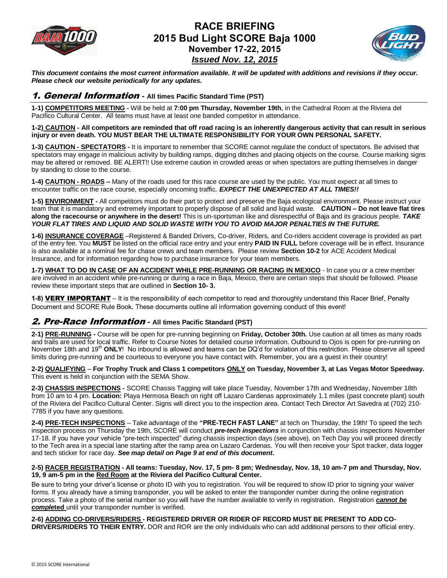

## **RACE BRIEFING 2015 Bud Light SCORE Baja 1000 November 17-22, 2015** *Issued Nov. 12, 2015*



*This document contains the most current information available. It will be updated with additions and revisions if they occur. Please check our website periodically for any updates.*

#### 1. General Information *-* **All times Pacific Standard Time (PST)**

**1-1) COMPETITORS MEETING -** Will be held at **7:00 pm Thursday, November 19th**, in the Cathedral Room at the Riviera del Pacifico Cultural Center. All teams must have at least one banded competitor in attendance.

**1-2) CAUTION - All competitors are reminded that off road racing is an inherently dangerous activity that can result in serious injury or even death. YOU MUST BEAR THE ULTIMATE RESPONSIBILITY FOR YOUR OWN PERSONAL SAFETY.**

**1-3) CAUTION - SPECTATORS -** It is important to remember that SCORE cannot regulate the conduct of spectators. Be advised that spectators may engage in malicious activity by building ramps, digging ditches and placing objects on the course. Course marking signs may be altered or removed. BE ALERT!! Use extreme caution in crowded areas or when spectators are putting themselves in danger by standing to close to the course.

**1-4) CAUTION - ROADS –** Many of the roads used for this race course are used by the public. You must expect at all times to encounter traffic on the race course, especially oncoming traffic. *EXPECT THE UNEXPECTED AT ALL TIMES!!*

**1-5) ENVIRONMENT -** All competitors must do their part to protect and preserve the Baja ecological environment. Please instruct your team that it is mandatory and extremely important to properly dispose of all solid and liquid waste. **CAUTION – Do not leave flat tires along the racecourse or anywhere in the desert!** This is un-sportsman like and disrespectful of Baja and its gracious people. *TAKE YOUR FLAT TIRES AND LIQUID AND SOLID WASTE WITH YOU TO AVOID MAJOR PENALTIES IN THE FUTURE.*

**1-6) INSURANCE COVERAGE** –Registered & Banded Drivers, Co-driver, Riders, and Co-riders accident coverage is provided as part of the entry fee. You **MUST** be listed on the official race entry and your entry **PAID IN FULL** before coverage will be in effect. Insurance is also available at a nominal fee for chase crews and team members. Please review **Section 10-2** for ACE Accident Medical Insurance, and for information regarding how to purchase insurance for your team members.

**1-7) WHAT TO DO IN CASE OF AN ACCIDENT WHILE PRE-RUNNING OR RACING IN MEXICO** - In case you or a crew member are involved in an accident while pre-running or during a race in Baja, Mexico, there are certain steps that should be followed. Please review these important steps that are outlined in **Section 10- 3.**

**1-8)** VERY IMPORTANT – It is the responsibility of each competitor to read and thoroughly understand this Racer Brief, Penalty Document and SCORE Rule Book**.** These documents outline all information governing conduct of this event!

#### 2. Pre-Race Information *-* **All times Pacific Standard (PST)**

**2-1) PRE-RUNNING -** Course will be open for pre-running beginning on **Friday, October 30th.** Use caution at all times as many roads and trails are used for local traffic. Refer to Course Notes for detailed course information. Outbound to Ojos is open for pre-running on November 18th and 19<sup>th</sup> ONLY! No inbound is allowed and teams can be DQ'd for violation of this restriction. Please observe all speed limits during pre-running and be courteous to everyone you have contact with. Remember, you are a guest in their country!

**2-2) QUALIFYING** – **For Trophy Truck and Class 1 competitors ONLY on Tuesday, November 3, at Las Vegas Motor Speedway.**  This event is held in conjunction with the SEMA Show.

**2-3) CHASSIS INSPECTIONS -** SCORE Chassis Tagging will take place Tuesday, November 17th and Wednesday, November 18th from 10 am to 4 pm. **Location:** Playa Hermosa Beach on right off Lazaro Cardenas approximately 1.1 miles (past concrete plant) south of the Riviera del Pacifico Cultural Center. Signs will direct you to the inspection area. Contact Tech Director Art Savedra at (702) 210- 7785 if you have any questions.

**2-4) PRE-TECH INSPECTIONS** – Take advantage of the **"PRE-TECH FAST LANE"** at tech on Thursday, the 19th! To speed the tech inspection process on Thursday the 19th, SCORE will conduct *pre-tech inspections* in conjunction with chassis inspections November 17-18. If you have your vehicle "pre-tech inspected" during chassis inspection days (see above), on Tech Day you will proceed directly to the Tech area in a special lane starting after the ramp area on Lazaro Cardenas. You will then receive your Spot tracker, data logger and tech sticker for race day. *See map detail on Page 9 at end of this document.*

#### **2-5) RACER REGISTRATION - All teams: Tuesday, Nov. 17, 5 pm- 8 pm; Wednesday, Nov. 18, 10 am-7 pm and Thursday, Nov. 19, 9 am-5 pm in the Red Room at the Riviera del Pacifico Cultural Center.**

Be sure to bring your driver's license or photo ID with you to registration. You will be required to show ID prior to signing your waiver forms. If you already have a timing transponder, you will be asked to enter the transponder number during the online registration process. Take a photo of the serial number so you will have the number available to verify in registration. Registration *cannot be comple***ted** until your transponder number is verified.

**2-6) ADDING CO-DRIVERS/RIDERS - REGISTERED DRIVER OR RIDER OF RECORD MUST BE PRESENT TO ADD CO-DRIVERS/RIDERS TO THEIR ENTRY.** DOR and ROR are the only individuals who can add additional persons to their official entry.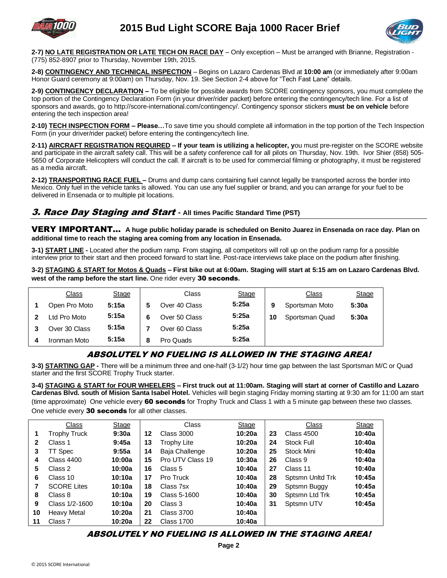



**2-7) NO LATE REGISTRATION OR LATE TECH ON RACE DAY** – Only exception – Must be arranged with Brianne, Registration - (775) 852-8907 prior to Thursday, November 19th, 2015.

**2-8) CONTINGENCY AND TECHNICAL INSPECTION** – Begins on Lazaro Cardenas Blvd at **10:00 am** (or immediately after 9:00am Honor Guard ceremony at 9:00am) on Thursday, Nov. 19. See Section 2-4 above for "Tech Fast Lane" details.

**2-9) CONTINGENCY DECLARATION –** To be eligible for possible awards from SCORE contingency sponsors, you must complete the top portion of the Contingency Declaration Form (in your driver/rider packet) before entering the contingency/tech line. For a list of sponsors and awards, go to http://score-international.com/contingency/. Contingency sponsor stickers **must be on vehicle** before entering the tech inspection area!

**2-10) TECH INSPECTION FORM – Please…**To save time you should complete all information in the top portion of the Tech Inspection Form (in your driver/rider packet) before entering the contingency/tech line.

**2-11) AIRCRAFT REGISTRATION REQUIRED – If your team is utilizing a helicopter, y**ou must pre-register on the SCORE website and participate in the aircraft safety call. This will be a safety conference call for all pilots on Thursday, Nov. 19th. Ivor Shier (858) 505- 5650 of Corporate Helicopters will conduct the call. If aircraft is to be used for commercial filming or photography, it must be registered as a media aircraft.

**2-12) TRANSPORTING RACE FUEL –** Drums and dump cans containing fuel cannot legally be transported across the border into Mexico. Only fuel in the vehicle tanks is allowed. You can use any fuel supplier or brand, and you can arrange for your fuel to be delivered in Ensenada or to multiple pit locations.

#### 3. Race Day Staging and Start *-* **All times Pacific Standard Time (PST)**

VERY IMPORTANT… **A huge public holiday parade is scheduled on Benito Juarez in Ensenada on race day. Plan on additional time to reach the staging area coming from any location in Ensenada.**

**3-1) START LINE -** Located after the podium ramp. From staging, all competitors will roll up on the podium ramp for a possible interview prior to their start and then proceed forward to start line. Post-race interviews take place on the podium after finishing.

**3-2) STAGING & START for Motos & Quads – First bike out at 6:00am. Staging will start at 5:15 am on Lazaro Cardenas Blvd. west of the ramp before the start line.** One rider every 30 seconds**.**

|   | <b>Class</b>  | <b>Stage</b> |   | Class         | <b>Stage</b> |    | Class          | <b>Stage</b> |
|---|---------------|--------------|---|---------------|--------------|----|----------------|--------------|
|   | Open Pro Moto | 5:15a        |   | Over 40 Class | 5:25a        | 9  | Sportsman Moto | 5:30a        |
|   | Ltd Pro Moto  | 5:15a        | 6 | Over 50 Class | 5:25a        | 10 | Sportsman Quad | 5:30a        |
|   | Over 30 Class | 5:15a        |   | Over 60 Class | 5:25a        |    |                |              |
| 4 | Ironman Moto  | 5:15a        | 8 | Pro Quads     | 5:25a        |    |                |              |
|   |               |              |   |               |              |    |                |              |

## ABSOLUTELY NO FUELING IS ALLOWED IN THE STAGING AREA!

**3-3) STARTING GAP -** There will be a minimum three and one-half (3-1/2) hour time gap between the last Sportsman M/C or Quad starter and the first SCORE Trophy Truck starter.

**3-4) STAGING & START for FOUR WHEELERS – First truck out at 11:00am. Staging will start at corner of Castillo and Lazaro Cardenas Blvd. south of Mision Santa Isabel Hotel.** Vehicles will begin staging Friday morning starting at 9:30 am for 11:00 am start (time approximate) One vehicle every 60 seconds for Trophy Truck and Class 1 with a 5 minute gap between these two classes. One vehicle every 30 seconds for all other classes.

|    | <b>Class</b>        | Stage  |    | Class             | <b>Stage</b> |    | Class             | <b>Stage</b> |
|----|---------------------|--------|----|-------------------|--------------|----|-------------------|--------------|
| 1  | <b>Trophy Truck</b> | 9:30a  | 12 | Class 3000        | 10:20a       | 23 | <b>Class 4500</b> | 10:40a       |
| 2  | Class 1             | 9:45a  | 13 | Trophy Lite       | 10:20a       | 24 | <b>Stock Full</b> | 10:40a       |
| 3  | TT Spec             | 9:55a  | 14 | Baja Challenge    | 10:20a       | 25 | Stock Mini        | 10:40a       |
| 4  | <b>Class 4400</b>   | 10:00a | 15 | Pro UTV Class 19  | 10:30a       | 26 | Class 9           | 10:40a       |
| 5. | Class 2             | 10:00a | 16 | Class 5           | 10:40a       | 27 | Class 11          | 10:40a       |
| 6  | Class 10            | 10:10a | 17 | Pro Truck         | 10:40a       | 28 | Sptsmn Unitd Trk  | 10:45a       |
|    | <b>SCORE Lites</b>  | 10:10a | 18 | Class 7sx         | 10:40a       | 29 | Sptsmn Buggy      | 10:45a       |
| 8  | Class 8             | 10:10a | 19 | Class 5-1600      | 10:40a       | 30 | Sptsmn Ltd Trk    | 10:45a       |
| 9  | Class 1/2-1600      | 10:10a | 20 | Class 3           | 10:40a       | 31 | Sptsmn UTV        | 10:45a       |
| 10 | <b>Heavy Metal</b>  | 10:20a | 21 | <b>Class 3700</b> | 10:40a       |    |                   |              |
| 11 | Class 7             | 10:20a | 22 | <b>Class 1700</b> | 10:40a       |    |                   |              |

#### ABSOLUTELY NO FUELING IS ALLOWED IN THE STAGING AREA!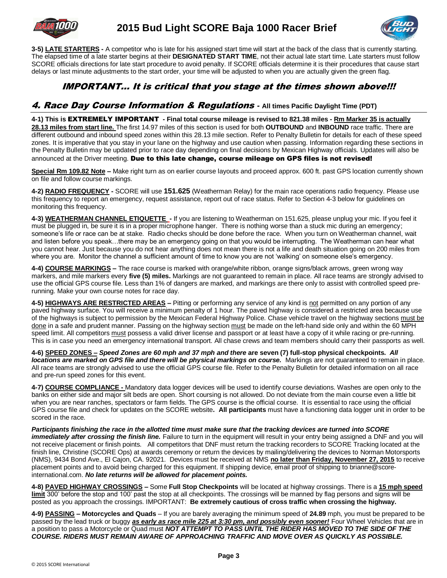



**3-5) LATE STARTERS -** A competitor who is late for his assigned start time will start at the back of the class that is currently starting. The elapsed time of a late starter begins at their **DESIGNATED START TIME**, not their actual late start time. Late starters must follow SCORE officials directions for late start procedure to avoid penalty. If SCORE officials determine it is their procedures that cause start delays or last minute adjustments to the start order, your time will be adjusted to when you are actually given the green flag.

## IMPORTANT… It is critical that you stage at the times shown above!!!

### 4. Race Day Course Information & Regulations *-* **All times Pacific Daylight Time (PDT)**

**4-1) This is** EXTREMELY IMPORTANT **- Final total course mileage is revised to 821.38 miles - Rm Marker 35 is actually 28.13 miles from start line.** The first 14.97 miles of this section is used for both **OUTBOUND** and **INBOUND** race traffic. There are different outbound and inbound speed zones within this 28.13 mile section. Refer to Penalty Bulletin for details for each of these speed zones. It is imperative that you stay in your lane on the highway and use caution when passing. Information regarding these sections in the Penalty Bulletin may be updated prior to race day depending on final decisions by Mexican Highway officials. Updates will also be announced at the Driver meeting. Due to this late change, course mileage on GPS files is not revised!

**Special Rm 109.82 Note –** Make right turn as on earlier course layouts and proceed approx. 600 ft. past GPS location currently shown on file and follow course markings.

**4-2) RADIO FREQUENCY -** SCORE will use **151.625** (Weatherman Relay) for the main race operations radio frequency. Please use this frequency to report an emergency, request assistance, report out of race status. Refer to Section 4-3 below for guidelines on monitoring this frequency.

**4-3) WEATHERMAN CHANNEL ETIQUETTE -** If you are listening to Weatherman on 151.625, please unplug your mic. If you feel it must be plugged in, be sure it is in a proper microphone hanger. There is nothing worse than a stuck mic during an emergency; someone's life or race can be at stake. Radio checks should be done before the race. When you turn on Weatherman channel, wait and listen before you speak…there may be an emergency going on that you would be interrupting. The Weatherman can hear what you cannot hear. Just because you do not hear anything does not mean there is not a life and death situation going on 200 miles from where you are. Monitor the channel a sufficient amount of time to know you are not 'walking' on someone else's emergency.

**4-4) COURSE MARKINGS –** The race course is marked with orange/white ribbon, orange signs/black arrows, green wrong way markers, and mile markers every **five (5) miles.** Markings are not guaranteed to remain in place. All race teams are strongly advised to use the official GPS course file. Less than 1% of dangers are marked, and markings are there only to assist with controlled speed prerunning. Make your own course notes for race day.

**4-5) HIGHWAYS ARE RESTRICTED AREAS –** Pitting or performing any service of any kind is not permitted on any portion of any paved highway surface. You will receive a minimum penalty of 1 hour. The paved highway is considered a restricted area because use of the highways is subject to permission by the Mexican Federal Highway Police. Chase vehicle travel on the highway sections must be done in a safe and prudent manner. Passing on the highway section must be made on the left-hand side only and within the 60 MPH speed limit. All competitors must possess a valid driver license and passport or at least have a copy of it while racing or pre-running. This is in case you need an emergency international transport. All chase crews and team members should carry their passports as well.

**4-6) SPEED ZONES –** *Speed Zones are 60 mph and 37 mph and there* **are seven (7) full-stop physical checkpoints.** *All locations are marked on GPS file and there will be physical markings on course.* Markings are not guaranteed to remain in place. All race teams are strongly advised to use the official GPS course file. Refer to the Penalty Bulletin for detailed information on all race and pre-run speed zones for this event.

**4-7) COURSE COMPLIANCE -** Mandatory data logger devices will be used to identify course deviations. Washes are open only to the banks on either side and major silt beds are open. Short coursing is not allowed. Do not deviate from the main course even a little bit when you are near ranches, spectators or farm fields. The GPS course is the official course. It is essential to race using the official GPS course file and check for updates on the SCORE website**. All participants** must have a functioning data logger unit in order to be scored in the race.

*Participants finishing the race in the allotted time must make sure that the tracking devices are turned into SCORE immediately after crossing the finish line.* Failure to turn in the equipment will result in your entry being assigned a DNF and you will not receive placement or finish points. All competitors that DNF must return the tracking recorders to SCORE Tracking located at the finish line, Christine (SCORE Ops) at awards ceremony or return the devices by mailing/delivering the devices to Norman Motorsports (NMS), 9434 Bond Ave., El Cajon, CA. 92021. Devices must be received at NMS **no later than Friday, November 27, 2015** to receive placement points and to avoid being charged for this equipment. If shipping device, email proof of shipping to brianne@scoreinternational.com. *No late returns will be allowed for placement points.*

**4-8) PAVED HIGHWAY CROSSINGS –** Some **Full Stop Checkpoints** will be located at highway crossings. There is a **15 mph speed limit** 300' before the stop and 100' past the stop at all checkpoints. The crossings will be manned by flag persons and signs will be posted as you approach the crossings. IMPORTANT: **Be extremely cautious of cross traffic when crossing the highway.**

**4-9) PASSING – Motorcycles and Quads** – If you are barely averaging the minimum speed of **24.89** mph, you must be prepared to be passed by the lead truck or buggy *as early as race mile 225 at 3:30 pm, and possibly even sooner!* Four Wheel Vehicles that are in a position to pass a Motorcycle or Quad must *NOT ATTEMPT TO PASS UNTIL THE RIDER HAS MOVED TO THE SIDE OF THE COURSE. RIDERS MUST REMAIN AWARE OF APPROACHING TRAFFIC AND MOVE OVER AS QUICKLY AS POSSIBLE.*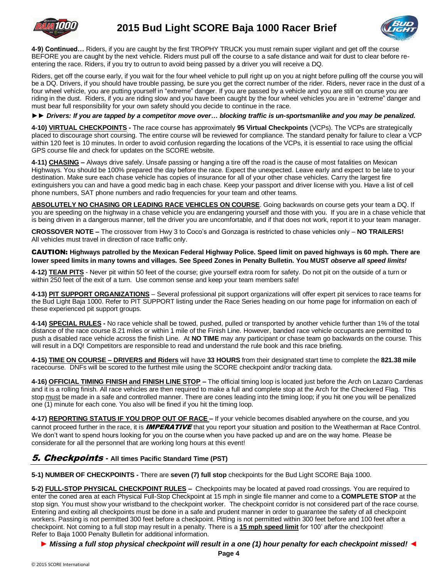



**4-9) Continued…** Riders, if you are caught by the first TROPHY TRUCK you must remain super vigilant and get off the course BEFORE you are caught by the next vehicle. Riders must pull off the course to a safe distance and wait for dust to clear before reentering the race. Riders, if you try to outrun to avoid being passed by a driver you will receive a DQ.

Riders, get off the course early, if you wait for the four wheel vehicle to pull right up on you at night before pulling off the course you will be a DQ. Drivers, if you should have trouble passing, be sure you get the correct number of the rider. Riders, never race in the dust of a four wheel vehicle, you are putting yourself in "extreme" danger. If you are passed by a vehicle and you are still on course you are riding in the dust. Riders, if you are riding slow and you have been caught by the four wheel vehicles you are in "extreme" danger and must bear full responsibility for your own safety should you decide to continue in the race.

*►► Drivers: If you are tapped by a competitor move over… blocking traffic is un-sportsmanlike and you may be penalized.*

**4-10) VIRTUAL CHECKPOINTS -** The race course has approximately **95 Virtual Checkpoints** (VCPs). The VCPs are strategically placed to discourage short coursing. The entire course will be reviewed for compliance. The standard penalty for failure to clear a VCP within 120 feet is 10 minutes. In order to avoid confusion regarding the locations of the VCPs, it is essential to race using the official GPS course file and check for updates on the SCORE website.

**4-11) CHASING –** Always drive safely. Unsafe passing or hanging a tire off the road is the cause of most fatalities on Mexican Highways. You should be 100% prepared the day before the race. Expect the unexpected. Leave early and expect to be late to your destination. Make sure each chase vehicle has copies of insurance for all of your other chase vehicles. Carry the largest fire extinguishers you can and have a good medic bag in each chase. Keep your passport and driver license with you. Have a list of cell phone numbers, SAT phone numbers and radio frequencies for your team and other teams.

**ABSOLUTELY NO CHASING OR LEADING RACE VEHICLES ON COURSE**. Going backwards on course gets your team a DQ. If you are speeding on the highway in a chase vehicle you are endangering yourself and those with you. If you are in a chase vehicle that is being driven in a dangerous manner, tell the driver you are uncomfortable, and if that does not work, report it to your team manager.

**CROSSOVER NOTE –** The crossover from Hwy 3 to Coco's and Gonzaga is restricted to chase vehicles only – **NO TRAILERS!** All vehicles must travel in direction of race traffic only.

CAUTION: **Highways patrolled by the Mexican Federal Highway Police. Speed limit on paved highways is 60 mph. There are lower speed limits in many towns and villages. See Speed Zones in Penalty Bulletin. You MUST** *observe all speed limits!*

**4-12) TEAM PITS** - Never pit within 50 feet of the course; give yourself extra room for safety. Do not pit on the outside of a turn or within 250 feet of the exit of a turn. Use common sense and keep your team members safe!

**4-13) PIT SUPPORT ORGANIZATIONS** – Several professional pit support organizations will offer expert pit services to race teams for the Bud Light Baja 1000. Refer to PIT SUPPORT listing under the Race Series heading on our home page for information on each of these experienced pit support groups.

**4-14) SPECIAL RULES -** No race vehicle shall be towed, pushed, pulled or transported by another vehicle further than 1% of the total distance of the race course 8.21 miles or within 1 mile of the Finish Line. However, banded race vehicle occupants are permitted to push a disabled race vehicle across the finish Line. At **NO TIME** may any participant or chase team go backwards on the course. This will result in a DQ! Competitors are responsible to read and understand the rule book and this race briefing.

**4-15) TIME ON COURSE – DRIVERS and Riders** will have **33 HOURS** from their designated start time to complete the **821.38 mile** racecourse. DNFs will be scored to the furthest mile using the SCORE checkpoint and/or tracking data.

**4-16) OFFICIAL TIMING FINISH and FINISH LINE STOP –** The official timing loop is located just before the Arch on Lazaro Cardenas and it is a rolling finish. All race vehicles are then required to make a full and complete stop at the Arch for the Checkered Flag. This stop must be made in a safe and controlled manner. There are cones leading into the timing loop; if you hit one you will be penalized one (1) minute for each cone. You also will be fined if you hit the timing loop.

**4-17) REPORTING STATUS IF YOU DROP OUT OF RACE –** If your vehicle becomes disabled anywhere on the course, and you cannot proceed further in the race, it is **IMPERATIVE** that you report your situation and position to the Weatherman at Race Control. We don't want to spend hours looking for you on the course when you have packed up and are on the way home. Please be considerate for all the personnel that are working long hours at this event!

#### 5. Checkpoints *-* **All times Pacific Standard Time (PST)**

**5-1) NUMBER OF CHECKPOINTS -** There are **seven (7) full stop** checkpoints for the Bud Light SCORE Baja 1000.

**5-2) FULL-STOP PHYSICAL CHECKPOINT RULES –** Checkpoints may be located at paved road crossings. You are required to enter the coned area at each Physical Full-Stop Checkpoint at 15 mph in single file manner and come to a **COMPLETE STOP** at the stop sign. You must show your wristband to the checkpoint worker. The checkpoint corridor is not considered part of the race course. Entering and exiting all checkpoints must be done in a safe and prudent manner in order to guarantee the safety of all checkpoint workers. Passing is not permitted 300 feet before a checkpoint. Pitting is not permitted within 300 feet before and 100 feet after a checkpoint. Not coming to a full stop may result in a penalty. There is a **15 mph speed limit** for 100' after the checkpoint! Refer to Baja 1000 Penalty Bulletin for additional information.

*► Missing a full stop physical checkpoint will result in a one (1) hour penalty for each checkpoint missed! ◄*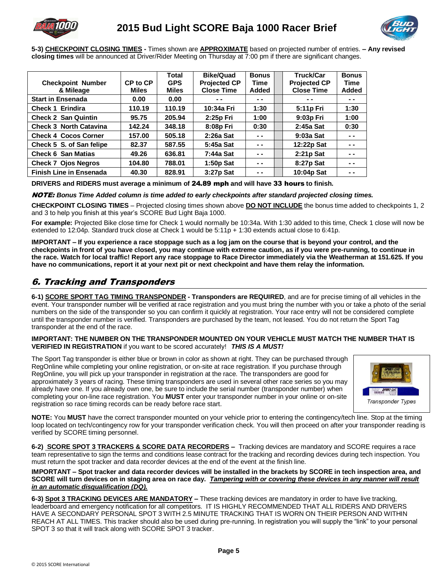



**5-3) CHECKPOINT CLOSING TIMES -** Times shown are **APPROXIMATE** based on projected number of entries. **– Any revised closing times** will be announced at Driver/Rider Meeting on Thursday at 7:00 pm if there are significant changes.

|                               |              | Total        | Bike/Quad           | <b>Bonus</b>  | <b>Truck/Car</b>    | <b>Bonus</b> |
|-------------------------------|--------------|--------------|---------------------|---------------|---------------------|--------------|
| <b>Checkpoint Number</b>      | CP to CP     | <b>GPS</b>   | <b>Projected CP</b> | Time          | <b>Projected CP</b> | <b>Time</b>  |
| & Mileage                     | <b>Miles</b> | <b>Miles</b> | <b>Close Time</b>   | <b>Added</b>  | <b>Close Time</b>   | Added        |
| <b>Start in Ensenada</b>      | 0.00         | 0.00         | $- -$               | $\sim$ $\sim$ | - -                 | - -          |
| <b>Check 1 Erindira</b>       | 110.19       | 110.19       | 10:34a Fri          | 1:30          | 5:11p Fri           | 1:30         |
| <b>Check 2 San Quintin</b>    | 95.75        | 205.94       | 2:25p Fri           | 1:00          | 9:03p Fri           | 1:00         |
| <b>Check 3 North Catavina</b> | 142.24       | 348.18       | 8:08p Fri           | 0:30          | $2:45a$ Sat         | 0:30         |
| <b>Check 4 Cocos Corner</b>   | 157.00       | 505.18       | $2:26a$ Sat         | $ -$          | $9:03a$ Sat         | - -          |
| Check 5 S. of San felipe      | 82.37        | 587.55       | 5:45a Sat           | - -           | 12:22p Sat          | $ -$         |
| <b>Check 6 San Matias</b>     | 49.26        | 636.81       | 7:44a Sat           | $\sim$ $\sim$ | $2:21p$ Sat         | - -          |
| <b>Check 7 Ojos Negros</b>    | 104.80       | 788.01       | 1:50p Sat           | $ -$          | 8:27p Sat           | $ -$         |
| Finish Line in Ensenada       | 40.30        | 828.91       | 3:27p Sat           | - -           | 10:04p Sat          | - -          |

**DRIVERS and RIDERS must average a minimum of** 24.89 mph **and will have** 33 hours **to finish.**

#### NOTE: *Bonus Time Added column is time added to early checkpoints after standard projected closing times.*

**CHECKPOINT CLOSING TIMES** – Projected closing times shown above **DO NOT INCLUDE** the bonus time added to checkpoints 1, 2 and 3 to help you finish at this year's SCORE Bud Light Baja 1000.

**For example:** Projected Bike close time for Check 1 would normally be 10:34a. With 1:30 added to this time, Check 1 close will now be extended to 12:04p. Standard truck close at Check 1 would be 5:11p + 1:30 extends actual close to 6:41p.

**IMPORTANT – If you experience a race stoppage such as a log jam on the course that is beyond your control, and the checkpoints in front of you have closed, you may continue with extreme caution, as if you were pre-running, to continue in the race. Watch for local traffic! Report any race stoppage to Race Director immediately via the Weatherman at 151.625. If you have no communications, report it at your next pit or next checkpoint and have them relay the information.** 

## 6. Tracking and Transponders

**6-1) SCORE SPORT TAG TIMING TRANSPONDER - Transponders are REQUIRED**, and are for precise timing of all vehicles in the event. Your transponder number will be verified at race registration and you must bring the number with you or take a photo of the serial numbers on the side of the transponder so you can confirm it quickly at registration. Your race entry will not be considered complete until the transponder number is verified. Transponders are purchased by the team, not leased. You do not return the Sport Tag transponder at the end of the race.

#### **IMPORTANT: THE NUMBER ON THE TRANSPONDER MOUNTED ON YOUR VEHICLE MUST MATCH THE NUMBER THAT IS VERIFIED IN REGISTRATION** if you want to be scored accurately! *THIS IS A MUST!*

The Sport Tag transponder is either blue or brown in color as shown at right. They can be purchased through RegOnline while completing your online registration, or on-site at race registration. If you purchase through RegOnline, you will pick up your transponder in registration at the race. The transponders are good for approximately 3 years of racing. These timing transponders are used in several other race series so you may already have one. If you already own one, be sure to include the serial number (transponder number) when completing your on-line race registration. You **MUST** enter your transponder number in your online or on-site registration so race timing records can be ready before race start.



**NOTE:** You **MUST** have the correct transponder mounted on your vehicle prior to entering the contingency/tech line. Stop at the timing loop located on tech/contingency row for your transponder verification check. You will then proceed on after your transponder reading is verified by SCORE timing personnel.

**6-2) SCORE SPOT 3 TRACKERS & SCORE DATA RECORDERS –** Tracking devices are mandatory and SCORE requires a race team representative to sign the terms and conditions lease contract for the tracking and recording devices during tech inspection. You must return the spot tracker and data recorder devices at the end of the event at the finish line.

**IMPORTANT – Spot tracker and data recorder devices will be installed in the brackets by SCORE in tech inspection area, and SCORE will turn devices on in staging area on race day.** *Tampering with or covering these devices in any manner will result in an automatic disqualification (DQ).*

**6-3) Spot 3 TRACKING DEVICES ARE MANDATORY –** These tracking devices are mandatory in order to have live tracking, leaderboard and emergency notification for all competitors. IT IS HIGHLY RECOMMENDED THAT ALL RIDERS AND DRIVERS HAVE A SECONDARY PERSONAL SPOT 3 WITH 2.5 MINUTE TRACKING THAT IS WORN ON THEIR PERSON AND WITHIN REACH AT ALL TIMES. This tracker should also be used during pre-running. In registration you will supply the "link" to your personal SPOT 3 so that it will track along with SCORE SPOT 3 tracker.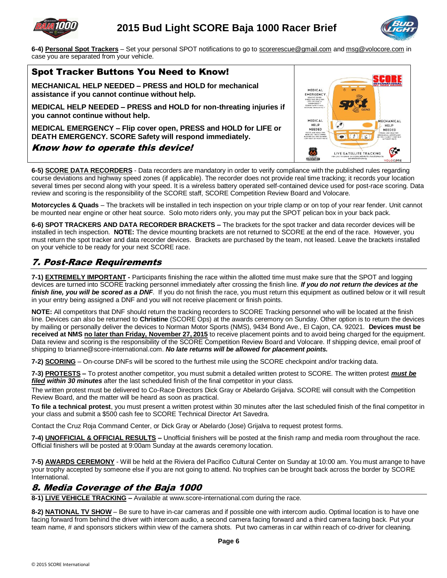



**6-4) Personal Spot Trackers** – Set your personal SPOT notifications to go to scorerescue@gmail.com and msg@volocore.com in case you are separated from your vehicle.

### Spot Tracker Buttons You Need to Know!

**MECHANICAL HELP NEEDED – PRESS and HOLD for mechanical assistance if you cannot continue without help.**

**MEDICAL HELP NEEDED – PRESS and HOLD for non-threating injuries if you cannot continue without help.**

**MEDICAL EMERGENCY – Flip cover open, PRESS and HOLD for LIFE or DEATH EMERGENCY. SCORE Safety will respond immediately.**

#### Know how to operate this device!

| MEDICAL                                                                                                                                 | Φ                                                         | GPS                     | INTERNATIONA<br>OFF-ROAD RACH                                                                                            |
|-----------------------------------------------------------------------------------------------------------------------------------------|-----------------------------------------------------------|-------------------------|--------------------------------------------------------------------------------------------------------------------------|
| <b>EMERGENCY</b><br>RENOVE COVER<br>POESS AND HOLD FOR<br>LIFE OR DEATH<br><b>EMERGENCY</b><br>SCORE SAFETY WILL<br>RESPOND INNEDIATELY |                                                           | <b>GEN3</b>             |                                                                                                                          |
| MEDICAL<br>HEL P<br><b>NEEDED</b>                                                                                                       |                                                           |                         | MECHANICAL<br><b>HELP</b>                                                                                                |
| ERFSS AND HOLD FOR<br>NON LIFE THREATENING<br>INJURIES B.E. YOU CANNOT<br>CONTINUE WITHOUT HELP!                                        |                                                           | Ŗ                       | <b>NEEDED</b><br>PRESS AND HOLD FOR<br><b>MECHANICIAL ASSISTANCE</b><br><b>ILE, YOU CANNOT CONTINUE</b><br>WITHOUT HELP) |
|                                                                                                                                         | FOR LIVE TRACKING VIA SCORE website this should always be | LIVE SATELLITE TRACKING |                                                                                                                          |
| <b>FOUNDATION</b>                                                                                                                       |                                                           | activated and running.  | VOLOCROE                                                                                                                 |

**6-5) SCORE DATA RECORDERS** - Data recorders are mandatory in order to verify compliance with the published rules regarding course deviations and highway speed zones (if applicable). The recorder does not provide real time tracking; it records your location several times per second along with your speed. It is a wireless battery operated self-contained device used for post-race scoring. Data review and scoring is the responsibility of the SCORE staff, SCORE Competition Review Board and Volocare.

**Motorcycles & Quads** – The brackets will be installed in tech inspection on your triple clamp or on top of your rear fender. Unit cannot be mounted near engine or other heat source. Solo moto riders only, you may put the SPOT pelican box in your back pack.

**6-6) SPOT TRACKERS AND DATA RECORDER BRACKETS –** The brackets for the spot tracker and data recorder devices will be installed in tech inspection. **NOTE:** The device mounting brackets are not returned to SCORE at the end of the race. However, you must return the spot tracker and data recorder devices. Brackets are purchased by the team, not leased. Leave the brackets installed on your vehicle to be ready for your next SCORE race.

## 7. Post-Race Requirements

**7-1) EXTREMELY IMPORTANT -** Participants finishing the race within the allotted time must make sure that the SPOT and logging devices are turned into SCORE tracking personnel immediately after crossing the finish line. *If you do not return the devices at the*  finish line, you will be scored as a DNF. If you do not finish the race, you must return this equipment as outlined below or it will result in your entry being assigned a DNF and you will not receive placement or finish points.

**NOTE:** All competitors that DNF should return the tracking recorders to SCORE Tracking personnel who will be located at the finish line. Devices can also be returned to **Christine** (SCORE Ops) at the awards ceremony on Sunday. Other option is to return the devices by mailing or personally deliver the devices to Norman Motor Sports (NMS), 9434 Bond Ave., El Cajon, CA. 92021. **Devices must be received at NMS no later than Friday, November 27, 2015** to receive placement points and to avoid being charged for the equipment. Data review and scoring is the responsibility of the SCORE Competition Review Board and Volocare. If shipping device, email proof of shipping to brianne@score-international.com. *No late returns will be allowed for placement points.*

**7-2) SCORING** – On-course DNFs will be scored to the furthest mile using the SCORE checkpoint and/or tracking data.

**7-3) PROTESTS –** To protest another competitor, you must submit a detailed written protest to SCORE. The written protest *must be filed within 30 minutes* after the last scheduled finish of the final competitor in your class.

The written protest must be delivered to Co-Race Directors Dick Gray or Abelardo Grijalva. SCORE will consult with the Competition Review Board, and the matter will be heard as soon as practical.

**To file a technical protest**, you must present a written protest within 30 minutes after the last scheduled finish of the final competitor in your class and submit a \$500 cash fee to SCORE Technical Director Art Savedra.

Contact the Cruz Roja Command Center, or Dick Gray or Abelardo (Jose) Grijalva to request protest forms.

**7-4) UNOFFICIAL & OFFICIAL RESULTS –** Unofficial finishers will be posted at the finish ramp and media room throughout the race. Official finishers will be posted at 9:00am Sunday at the awards ceremony location.

**7-5) AWARDS CEREMONY** - Will be held at the Riviera del Pacifico Cultural Center on Sunday at 10:00 am. You must arrange to have your trophy accepted by someone else if you are not going to attend. No trophies can be brought back across the border by SCORE International.

## 8. Media Coverage of the Baja 1000

**8-1) LIVE VEHICLE TRACKING –** Available at www.score-international.com during the race.

**8-2) NATIONAL TV SHOW** – Be sure to have in-car cameras and if possible one with intercom audio. Optimal location is to have one facing forward from behind the driver with intercom audio, a second camera facing forward and a third camera facing back. Put your team name, # and sponsors stickers within view of the camera shots. Put two cameras in car within reach of co-driver for cleaning.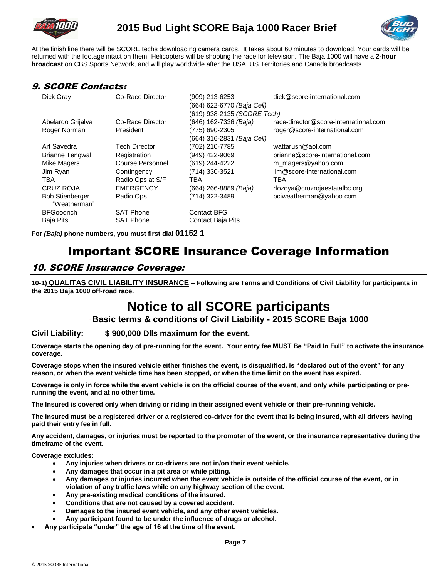



At the finish line there will be SCORE techs downloading camera cards. It takes about 60 minutes to download. Your cards will be returned with the footage intact on them. Helicopters will be shooting the race for television. The Baja 1000 will have a **2-hour broadcast** on CBS Sports Network, and will play worldwide after the USA, US Territories and Canada broadcasts.

## 9. SCORE Contacts:

| Dick Gray                              | Co-Race Director | (909) 213-6253                    | dick@score-international.com          |
|----------------------------------------|------------------|-----------------------------------|---------------------------------------|
|                                        |                  | (664) 622-6770 <i>(Baja Cell)</i> |                                       |
|                                        |                  | (619) 938-2135 (SCORE Tech)       |                                       |
| Abelardo Grijalva                      | Co-Race Director | (646) 162-7336 <i>(Baja)</i>      | race-director@score-international.com |
| Roger Norman                           | President        | (775) 690-2305                    | roger@score-international.com         |
|                                        |                  | (664) 316-2831 (Baja Cell)        |                                       |
| Art Savedra                            | Tech Director    | (702) 210-7785                    | wattarush@aol.com                     |
| <b>Brianne Tengwall</b>                | Registration     | (949) 422-9069                    | brianne@score-international.com       |
| Mike Magers                            | Course Personnel | (619) 244-4222                    | m_magers@yahoo.com                    |
| Jim Ryan                               | Contingency      | (714) 330-3521                    | jim@score-international.com           |
| TBA                                    | Radio Ops at S/F | TBA                               | TBA                                   |
| <b>CRUZ ROJA</b>                       | <b>EMERGENCY</b> | (664) 266-8889 <i>(Baja)</i>      | rlozoya@cruzrojaestatalbc.org         |
| <b>Bob Stienberger</b><br>"Weatherman" | Radio Ops        | (714) 322-3489                    | pciweatherman@yahoo.com               |
| <b>BFGoodrich</b>                      | <b>SAT Phone</b> | <b>Contact BFG</b>                |                                       |
| <b>Baja Pits</b>                       | <b>SAT Phone</b> | <b>Contact Baja Pits</b>          |                                       |
|                                        |                  |                                   |                                       |

**For** *(Baja)* **phone numbers, you must first dial 01152 1**

# Important SCORE Insurance Coverage Information

## 10. SCORE Insurance Coverage:

**10-1) QUALITAS CIVIL LIABILITY INSURANCE – Following are Terms and Conditions of Civil Liability for participants in the 2015 Baja 1000 off-road race.**

# **Notice to all SCORE participants**

#### **` Basic terms & conditions of Civil Liability - 2015 SCORE Baja 1000**

#### **Civil Liability: \$ 900,000 Dlls maximum for the event.**

**Coverage starts the opening day of pre-running for the event. Your entry fee MUST Be "Paid In Full" to activate the insurance coverage.** 

**Coverage stops when the insured vehicle either finishes the event, is disqualified, is "declared out of the event" for any reason, or when the event vehicle time has been stopped, or when the time limit on the event has expired.**

**Coverage is only in force while the event vehicle is on the official course of the event, and only while participating or prerunning the event, and at no other time.**

**The Insured is covered only when driving or riding in their assigned event vehicle or their pre-running vehicle.** 

**The Insured must be a registered driver or a registered co-driver for the event that is being insured, with all drivers having paid their entry fee in full.** 

**Any accident, damages, or injuries must be reported to the promoter of the event, or the insurance representative during the timeframe of the event.**

**Coverage excludes:**

- **Any injuries when drivers or co-drivers are not in/on their event vehicle.**
- **Any damages that occur in a pit area or while pitting.**
- **Any damages or injuries incurred when the event vehicle is outside of the official course of the event, or in violation of any traffic laws while on any highway section of the event.**
- **Any pre-existing medical conditions of the insured.**
- **Conditions that are not caused by a covered accident.**
- **Damages to the insured event vehicle, and any other event vehicles.**
- **Any participant found to be under the influence of drugs or alcohol.**
- **Any participate "under" the age of 16 at the time of the event.**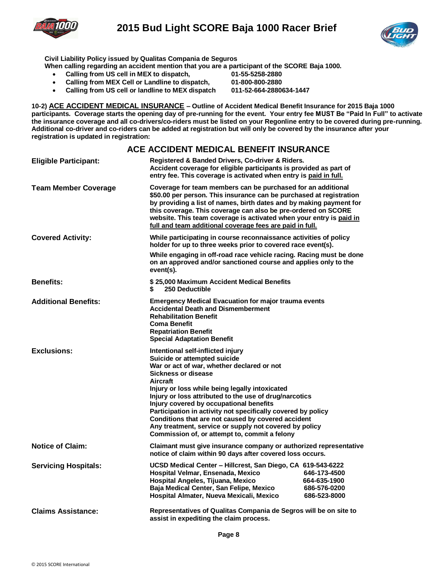

## **2015 Bud Light SCORE Baja 1000 Racer Brief**



**Civil Liability Policy issued by Qualitas Compania de Seguros** 

**When calling regarding an accident mention that you are a participant of the SCORE Baja 1000.**

- **Calling from US cell in MEX to dispatch, 61-55-5258-2880**<br>**•** Calling from MEX Cell or Landline to dispatch. 01-800-800-2880
- **•** Calling from MEX Cell or Landline to dispatch,
- **Calling from US cell or landline to MEX dispatch 011-52-664-2880634-1447**

**10-2) ACE ACCIDENT MEDICAL INSURANCE – Outline of Accident Medical Benefit Insurance for 2015 Baja 1000 participants. Coverage starts the opening day of pre-running for the event. Your entry fee MUST Be "Paid In Full" to activate the insurance coverage and all co-drivers/co-riders must be listed on your Regonline entry to be covered during pre-running. Additional co-driver and co-riders can be added at registration but will only be covered by the insurance after your registration is updated in registration:** 

#### **ACE ACCIDENT MEDICAL BENEFIT INSURANCE**

| Registered & Banded Drivers, Co-driver & Riders.<br>Accident coverage for eligible participants is provided as part of<br>entry fee. This coverage is activated when entry is paid in full.                                                                                                                                                                                                                                                                                                      |                                                              |  |  |  |
|--------------------------------------------------------------------------------------------------------------------------------------------------------------------------------------------------------------------------------------------------------------------------------------------------------------------------------------------------------------------------------------------------------------------------------------------------------------------------------------------------|--------------------------------------------------------------|--|--|--|
| Coverage for team members can be purchased for an additional<br>\$50.00 per person. This insurance can be purchased at registration<br>by providing a list of names, birth dates and by making payment for<br>this coverage. This coverage can also be pre-ordered on SCORE<br>website. This team coverage is activated when your entry is paid in<br>full and team additional coverage fees are paid in full.                                                                                   |                                                              |  |  |  |
| While participating in course reconnaissance activities of policy<br>holder for up to three weeks prior to covered race event(s).                                                                                                                                                                                                                                                                                                                                                                |                                                              |  |  |  |
| While engaging in off-road race vehicle racing. Racing must be done<br>on an approved and/or sanctioned course and applies only to the<br>event(s).                                                                                                                                                                                                                                                                                                                                              |                                                              |  |  |  |
| \$25,000 Maximum Accident Medical Benefits<br>250 Deductible<br>\$                                                                                                                                                                                                                                                                                                                                                                                                                               |                                                              |  |  |  |
| <b>Emergency Medical Evacuation for major trauma events</b><br><b>Accidental Death and Dismemberment</b><br><b>Rehabilitation Benefit</b><br><b>Coma Benefit</b><br><b>Repatriation Benefit</b><br><b>Special Adaptation Benefit</b>                                                                                                                                                                                                                                                             |                                                              |  |  |  |
| Intentional self-inflicted injury<br>Suicide or attempted suicide<br>War or act of war, whether declared or not<br>Sickness or disease<br><b>Aircraft</b><br>Injury or loss while being legally intoxicated<br>Injury or loss attributed to the use of drug/narcotics<br>Injury covered by occupational benefits<br>Participation in activity not specifically covered by policy<br>Conditions that are not caused by covered accident<br>Any treatment, service or supply not covered by policy |                                                              |  |  |  |
| Claimant must give insurance company or authorized representative<br>notice of claim within 90 days after covered loss occurs.                                                                                                                                                                                                                                                                                                                                                                   |                                                              |  |  |  |
| UCSD Medical Center - Hillcrest, San Diego, CA 619-543-6222<br>Hospital Velmar, Ensenada, Mexico<br>Hospital Angeles, Tijuana, Mexico<br>Baja Medical Center, San Felipe, Mexico<br>Hospital Almater, Nueva Mexicali, Mexico                                                                                                                                                                                                                                                                     | 646-173-4500<br>664-635-1900<br>686-576-0200<br>686-523-8000 |  |  |  |
| <b>Claims Assistance:</b><br>Representatives of Qualitas Compania de Segros will be on site to<br>assist in expediting the claim process.                                                                                                                                                                                                                                                                                                                                                        |                                                              |  |  |  |
|                                                                                                                                                                                                                                                                                                                                                                                                                                                                                                  | Commission of, or attempt to, commit a felony                |  |  |  |